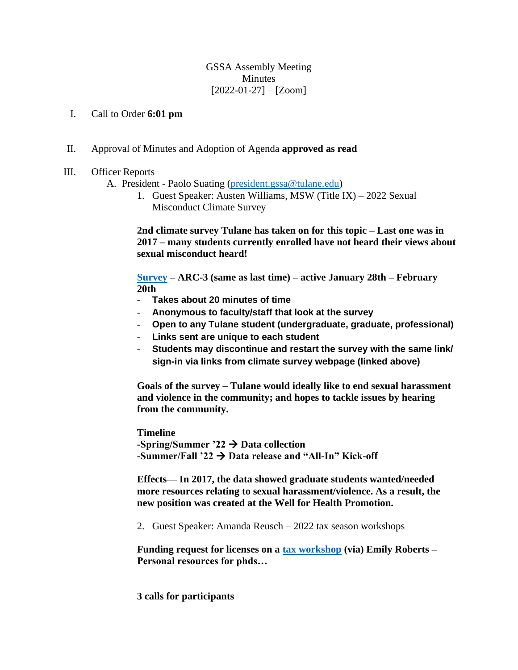GSSA Assembly Meeting Minutes  $[2022-01-27] - [Zoom]$ 

## I. Call to Order **6:01 pm**

- II. Approval of Minutes and Adoption of Agenda **approved as read**
- III. Officer Reports
	- A. President Paolo Suating [\(president.gssa@tulane.edu\)](mailto:president.gssa@tulane.edu)
		- 1. Guest Speaker: Austen Williams, MSW (Title IX) 2022 Sexual Misconduct Climate Survey

**2nd climate survey Tulane has taken on for this topic – Last one was in 2017 – many students currently enrolled have not heard their views about sexual misconduct heard!** 

**[Survey](http://climatesurvey.tulane.edu/) – ARC-3 (same as last time) – active January 28th – February 20th**

- **Takes about 20 minutes of time**
- **Anonymous to faculty/staff that look at the survey**
- **Open to any Tulane student (undergraduate, graduate, professional)**
- **Links sent are unique to each student**
- **Students may discontinue and restart the survey with the same link/ sign-in via links from climate survey webpage (linked above)**

**Goals of the survey – Tulane would ideally like to end sexual harassment and violence in the community; and hopes to tackle issues by hearing from the community.** 

**Timeline -Spring/Summer '22** → **Data collection -Summer/Fall '22** → **Data release and "All-In" Kick-off** 

**Effects— In 2017, the data showed graduate students wanted/needed more resources relating to sexual harassment/violence. As a result, the new position was created at the Well for Health Promotion.** 

2. Guest Speaker: Amanda Reusch – 2022 tax season workshops

**Funding request for licenses on a [tax workshop](https://www.pfforphds.community/mh9duoco) (via) Emily Roberts – Personal resources for phds…** 

**3 calls for participants**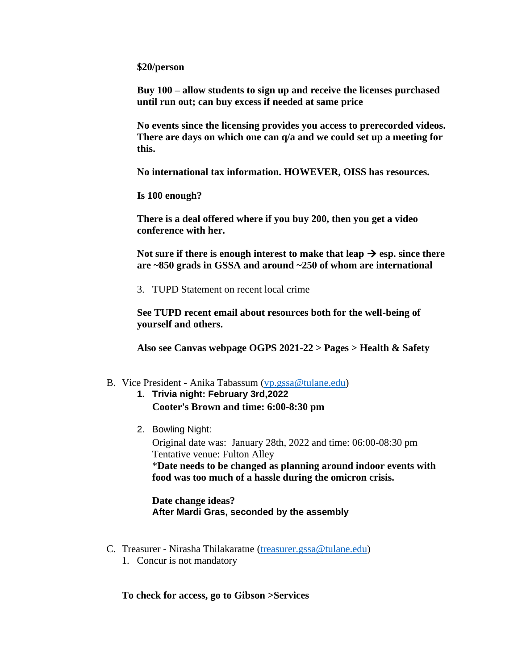**\$20/person**

**Buy 100 – allow students to sign up and receive the licenses purchased until run out; can buy excess if needed at same price** 

**No events since the licensing provides you access to prerecorded videos. There are days on which one can q/a and we could set up a meeting for this.** 

**No international tax information. HOWEVER, OISS has resources.** 

**Is 100 enough?** 

**There is a deal offered where if you buy 200, then you get a video conference with her.** 

Not sure if there is enough interest to make that leap  $\rightarrow$  esp. since there **are ~850 grads in GSSA and around ~250 of whom are international** 

3. TUPD Statement on recent local crime

**See TUPD recent email about resources both for the well-being of yourself and others.** 

**Also see Canvas webpage OGPS 2021-22 > Pages > Health & Safety** 

## B. Vice President - Anika Tabassum [\(vp.gssa@tulane.edu\)](mailto:vp.gssa@tulane.edu)

- **1. Trivia night: February 3rd,2022 Cooter's Brown and time: 6:00-8:30 pm**
- 2. Bowling Night:

Original date was: January 28th, 2022 and time: 06:00-08:30 pm Tentative venue: Fulton Alley \***Date needs to be changed as planning around indoor events with food was too much of a hassle during the omicron crisis.** 

**Date change ideas? After Mardi Gras, seconded by the assembly** 

- C. Treasurer Nirasha Thilakaratne [\(treasurer.gssa@tulane.edu\)](mailto:treasurer.gssa@tulane.edu)
	- 1. Concur is not mandatory

**To check for access, go to Gibson >Services**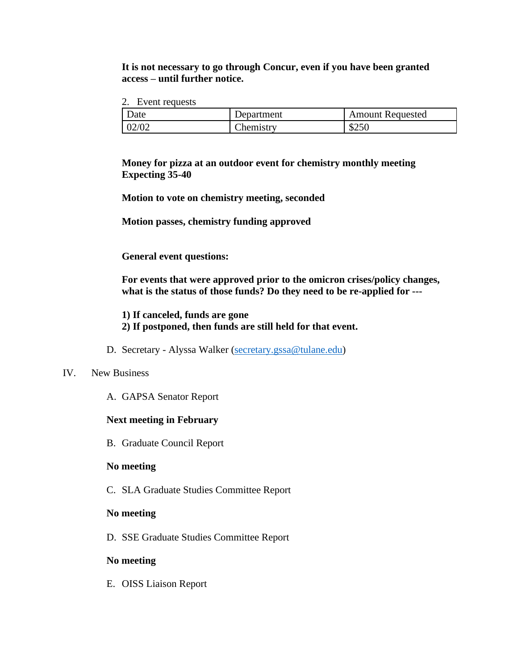# **It is not necessary to go through Concur, even if you have been granted access – until further notice.**

2. Event requests

| Date  | Department       | <b>Amount Requested</b> |
|-------|------------------|-------------------------|
| 02/02 | <b>Chemistry</b> | \$250                   |

**Money for pizza at an outdoor event for chemistry monthly meeting Expecting 35-40**

**Motion to vote on chemistry meeting, seconded** 

**Motion passes, chemistry funding approved** 

**General event questions:** 

**For events that were approved prior to the omicron crises/policy changes, what is the status of those funds? Do they need to be re-applied for ---**

**1) If canceled, funds are gone**

- **2) If postponed, then funds are still held for that event.**
- D. Secretary Alyssa Walker [\(secretary.gssa@tulane.edu\)](mailto:secretary.gssa@tulane.edu)

#### IV. New Business

A. GAPSA Senator Report

#### **Next meeting in February**

B. Graduate Council Report

## **No meeting**

C. SLA Graduate Studies Committee Report

#### **No meeting**

D. SSE Graduate Studies Committee Report

## **No meeting**

E. OISS Liaison Report